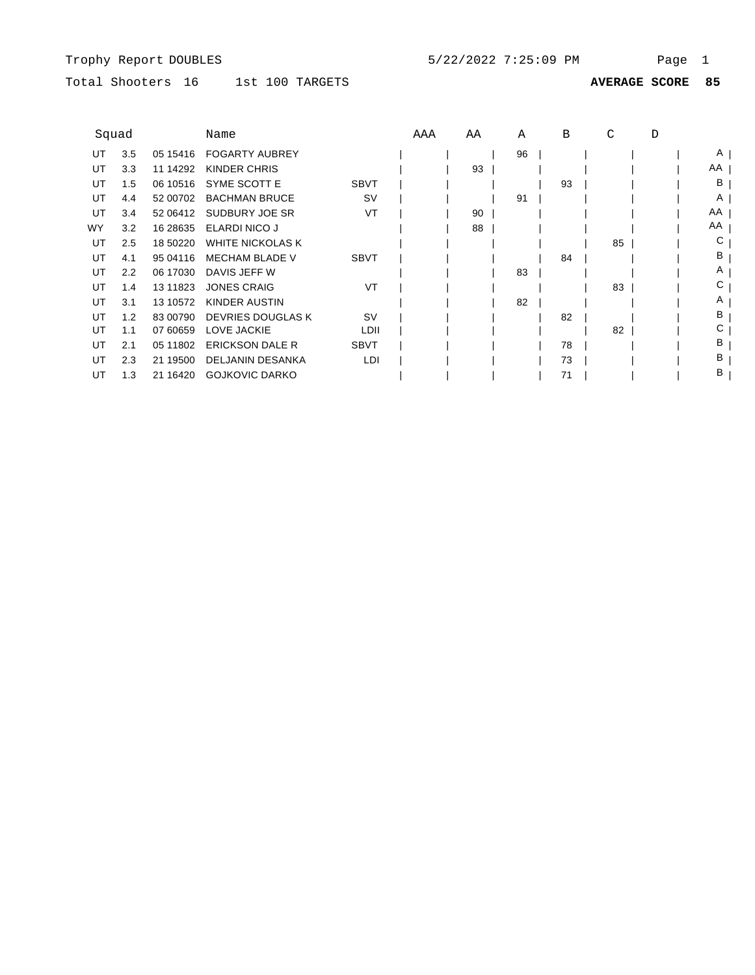# Total Shooters 16 1st 100 TARGETS

| Squad     |     |            | Name                     |             | AAA | ΑA | Α  | В  | C  | D |    |
|-----------|-----|------------|--------------------------|-------------|-----|----|----|----|----|---|----|
| UT        | 3.5 | 05 15416   | <b>FOGARTY AUBREY</b>    |             |     |    | 96 |    |    |   | A  |
| UT        | 3.3 | 11 14292   | KINDER CHRIS             |             |     | 93 |    |    |    |   | AA |
| UT        | 1.5 | 06 10516   | SYME SCOTT E             | <b>SBVT</b> |     |    |    | 93 |    |   | B  |
| UT        | 4.4 | 52 00702   | <b>BACHMAN BRUCE</b>     | <b>SV</b>   |     |    | 91 |    |    |   | A  |
| UT        | 3.4 | 52 06412   | SUDBURY JOE SR           | VT          |     | 90 |    |    |    |   | AA |
| <b>WY</b> | 3.2 | 16 28 635  | <b>ELARDI NICO J</b>     |             |     | 88 |    |    |    |   | AA |
| UT        | 2.5 | 18 50220   | <b>WHITE NICKOLAS K</b>  |             |     |    |    |    | 85 |   | С  |
| UT        | 4.1 | 95 04116   | <b>MECHAM BLADE V</b>    | <b>SBVT</b> |     |    |    | 84 |    |   | в  |
| UT        | 2.2 | 06 17030   | DAVIS JEFF W             |             |     |    | 83 |    |    |   | Α  |
| UT        | 1.4 | 13 11 8 23 | <b>JONES CRAIG</b>       | VT          |     |    |    |    | 83 |   | С  |
| UT        | 3.1 | 13 10572   | KINDER AUSTIN            |             |     |    | 82 |    |    |   | Α  |
| UT        | 1.2 | 83 00790   | <b>DEVRIES DOUGLAS K</b> | <b>SV</b>   |     |    |    | 82 |    |   | в  |
| UT        | 1.1 | 07 60659   | <b>LOVE JACKIE</b>       | LDII        |     |    |    |    | 82 |   | С  |
| UT        | 2.1 | 05 11802   | <b>ERICKSON DALE R</b>   | <b>SBVT</b> |     |    |    | 78 |    |   | в  |
| UT        | 2.3 | 21 19500   | <b>DELJANIN DESANKA</b>  | LDI         |     |    |    | 73 |    |   | в  |
| UT        | 1.3 | 21 16420   | <b>GOJKOVIC DARKO</b>    |             |     |    |    | 71 |    |   | в  |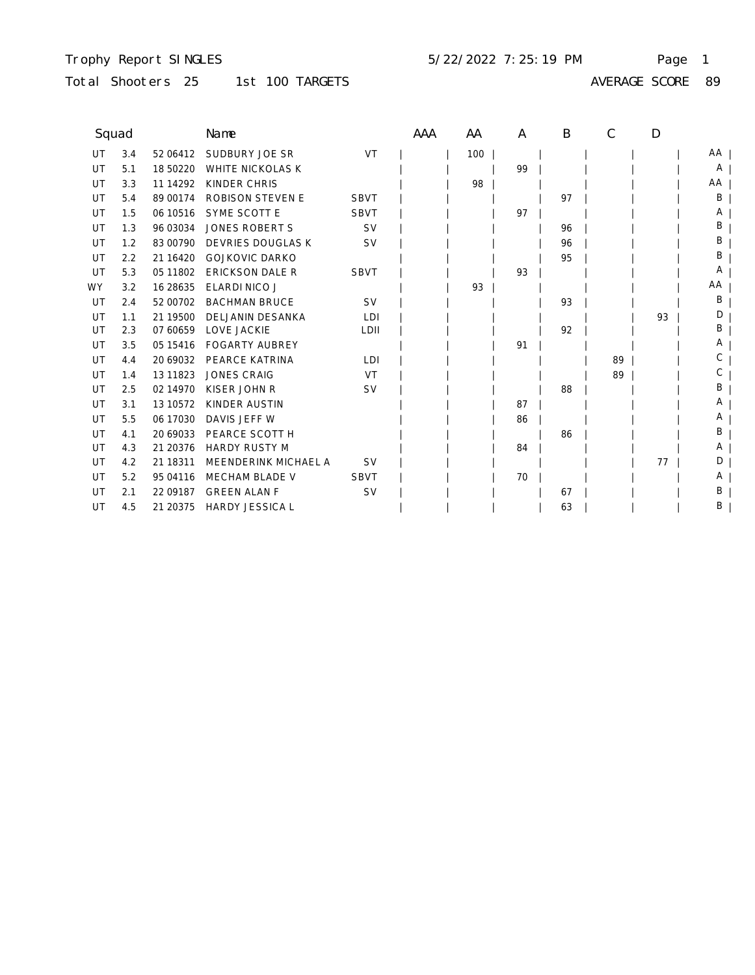#### Trophy Report SINGLES Page 1 5/22/2022 7:25:19 PM

## Total Shooters 25 1st 100 TARGETS AVERAGE SCORE 89

| Squad |     |             | Name                     |             | AAA | AA  | A  | B  | C  | D  |       |
|-------|-----|-------------|--------------------------|-------------|-----|-----|----|----|----|----|-------|
| UT    | 3.4 | 52 06412    | SUDBURY JOE SR           | VT          |     | 100 |    |    |    |    | AA    |
| UT    | 5.1 | 18 50220    | <b>WHITE NICKOLAS K</b>  |             |     |     | 99 |    |    |    | A $ $ |
| UT    | 3.3 | 11 14 29 2  | KINDER CHRIS             |             |     | 98  |    |    |    |    | AA    |
| UT    | 5.4 | 89 00174    | <b>ROBISON STEVEN E</b>  | <b>SBVT</b> |     |     |    | 97 |    |    | B     |
| UT    | 1.5 | 06 10516    | SYME SCOTT E             | <b>SBVT</b> |     |     | 97 |    |    |    | A     |
| UT    | 1.3 | 96 03034    | <b>JONES ROBERT S</b>    | <b>SV</b>   |     |     |    | 96 |    |    | Β     |
| UT    | 1.2 | 83 00790    | <b>DEVRIES DOUGLAS K</b> | <b>SV</b>   |     |     |    | 96 |    |    | Β     |
| UT    | 2.2 | 21 16420    | <b>GOJKOVIC DARKO</b>    |             |     |     |    | 95 |    |    | В     |
| UT    | 5.3 | 05 11802    | <b>ERICKSON DALE R</b>   | <b>SBVT</b> |     |     | 93 |    |    |    | Α     |
| WY.   | 3.2 | 16 28 635   | <b>ELARDI NICO J</b>     |             |     | 93  |    |    |    |    | AA    |
| UT    | 2.4 | 52 00702    | <b>BACHMAN BRUCE</b>     | <b>SV</b>   |     |     |    | 93 |    |    | B     |
| UT    | 1.1 | 21 19500    | <b>DELJANIN DESANKA</b>  | LDI         |     |     |    |    |    | 93 | D     |
| UT    | 2.3 | 07 60659    | LOVE JACKIE              | LDII        |     |     |    | 92 |    |    | Β     |
| UT    | 3.5 | 05 15416    | <b>FOGARTY AUBREY</b>    |             |     |     | 91 |    |    |    | Α     |
| UT    | 4.4 | 20 69032    | <b>PEARCE KATRINA</b>    | LDI         |     |     |    |    | 89 |    | С     |
| UT    | 1.4 | 13 11 8 2 3 | <b>JONES CRAIG</b>       | VT          |     |     |    |    | 89 |    | С     |
| UT    | 2.5 | 02 14 970   | KISER JOHN R             | <b>SV</b>   |     |     |    | 88 |    |    | B     |
| UT    | 3.1 | 13 10 572   | <b>KINDER AUSTIN</b>     |             |     |     | 87 |    |    |    | A     |
| UT    | 5.5 | 06 17030    | DAVIS JEFF W             |             |     |     | 86 |    |    |    | A     |
| UT    | 4.1 | 20 69033    | PEARCE SCOTT H           |             |     |     |    | 86 |    |    | B     |
| UT    | 4.3 | 21 20376    | <b>HARDY RUSTY M</b>     |             |     |     | 84 |    |    |    | A     |
| UT    | 4.2 | 21 18311    | MEENDERINK MICHAEL A     | <b>SV</b>   |     |     |    |    |    | 77 | D     |
| UT    | 5.2 | 95 04 116   | MECHAM BLADE V           | <b>SBVT</b> |     |     | 70 |    |    |    | A     |
| UT    | 2.1 | 22 09 187   | <b>GREEN ALAN F</b>      | <b>SV</b>   |     |     |    | 67 |    |    | Β     |
| UT    | 4.5 | 21 20375    | <b>HARDY JESSICA L</b>   |             |     |     |    | 63 |    |    | Β     |